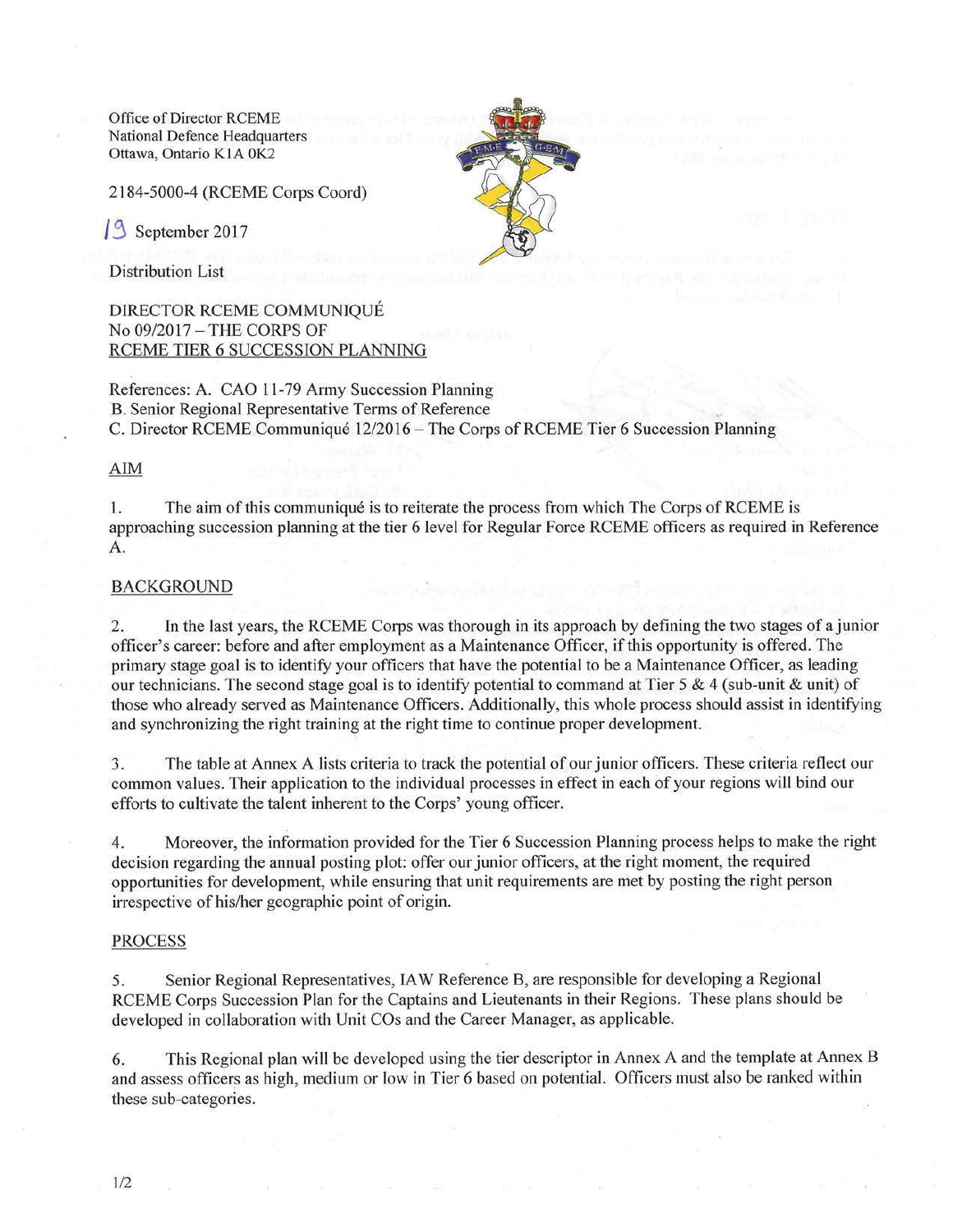Office of Director RCEME National Defence Headquarters Ottawa, Ontario K1A 0K2

2184-5000-4 (RCEME Corps Coord)

September 2017

Distribution List

DIRECTOR RCEME COMMUNIQUE No 09/2017 - THE CORPS OF RCEME TIER 6 SUCCESSION PLANNING

References: A. CAO 11-79 Army Succession Planning B. Senior Regional Representative Terms of Reference C. Director RCEME Communique 12/2016-The Corps of RCEME Tier 6 Succession Planning

### AIM

I. The aim of this communique is to reiterate the process from which The Corps ofRCEME is approaching succession planning at the tier 6 level for Regular Force RCEME officers as required in Reference A.

## BACKGROUND

2. In the last years, the RCEME Corps was thorough in its approach by defining the two stages of a junior officer's career: before and after employment as a Maintenance Officer, if this opportunity is offered. The primary stage goal is to identify your officers that have the potential to be a Maintenance Officer, as leading our technicians. The second stage goal is to identify potential to command at Tier 5 & 4 (sub-unit & unit) of those who already served as Maintenance Officers. Additionally, this whole process should assist in identifying and synchronizing the right training at the right time to continue proper development.

3. The table at Annex A lists criteria to track the potential of our junior officers. These criteria reflect our common values. Their application to the individual processes in effect in each of your regions will bind our efforts to cultivate the talent inherent to the Corps' young officer.

4. Moreover, the information provided for the Tier 6 Succession Planning process helps to make the right decision regarding the annual posting plot: offer our junior officers, at the right moment, the required opportunities for development, while ensuring that unit requirements are met by posting the right person irrespective of his/her geographic point of origin.

## PROCESS

5. Senior Regional Representatives, IA W Reference B, are responsible for developing a Regional RCEME Corps Succession Plan for the Captains and Lieutenants in their Regions. These plans should be developed in collaboration with Unit COs and the Career Manager, as applicable.

6. This Regional plan will be developed using the tier descriptor in Annex A and the template at Annex B and assess officers as high, medium or low in Tier 6 based on potential. Officers must also be ranked within these sub-categories.

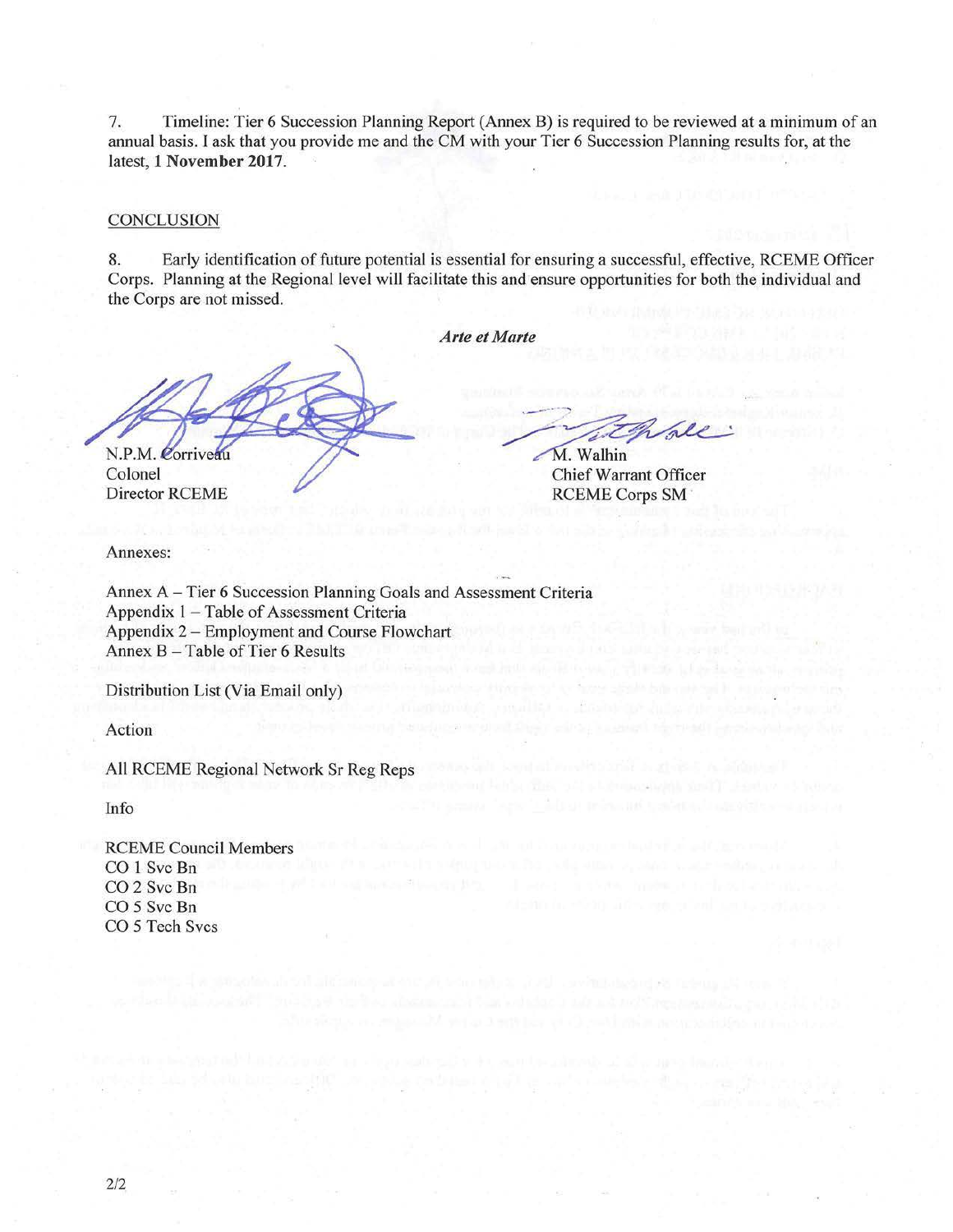7. Timeline: Tier 6 Succession Planning Repott (Annex B) is required to be reviewed at a minimum of an annual basis. I ask that you provide me and the CM with your Tier 6 Succession Planning results for, at the latest, 1 November 2017.

#### **CONCLUSION**

8. Early identification of future potential is essential for ensuring a successful, effective, RCEME Officer Corps. Planning at the Regional level will facilitate this and ensure opportunities for both the individual and the Corps are not missed.

*Arte et Marte* 

N.P.M. Corriveau

Colonel Director RCEME

Annexes:

M. Walking

Chief Warrant Officer RCEME Corps SM

Annex A - Tier 6 Succession Planning Goals and Assessment Criteria Appendix 1 - Table of Assessment Criteria Appendix 2 - Employment and Course Flowchart Annex B-Table of Tier 6 Results

Distribution List (Via Email only)

Action

All RCEME Regional Network Sr Reg Reps

Info

RCEME Council Members CO 1 Svc Bn CO<sub>2</sub> Svc Bn CO 5 Svc Bn CO 5 Tech Svcs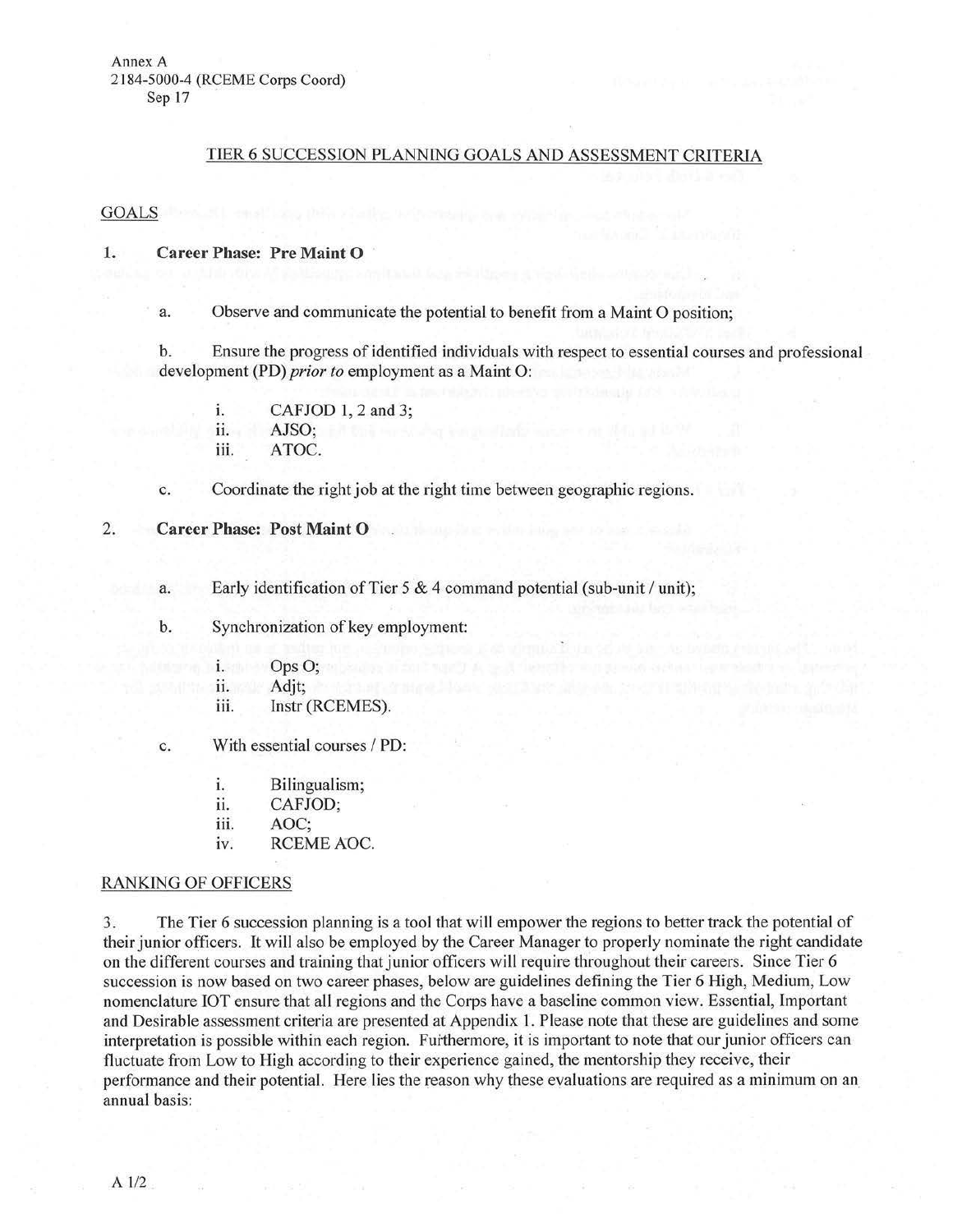## TIER 6 SUCCESSION PLANNING GOALS AND ASSESSMENT CRITERIA

#### GOALS

## 1. Career Phase: Pre Maint 0

a. Observe and communicate the potential to benefit from a Maint 0 position;

b. Ensure the progress of identified individuals with respect to essential courses and professional development (PD) *prior to* employment as a Maint 0:

1. CAFJOD l, 2 and 3; 11. AJSO; iii. ATOC.

- c. Coordinate the right job at the right time between geographic regions.
- 2. Career Phase: Post Maint 0
	- a. Early identification of Tier  $5 \& 4$  command potential (sub-unit / unit);
	- b. Synchronization of key employment:
		- 1. Ops O;
		- ii. and Adjt; A strategie and the strategie of the strategie and an and
		- iii. Instr (RCEMES).
	- c. With essential courses / PD:
		- 1. Bilingualism;
		- ii. CAFJOD;
		- iii. AOC;
		- iv. RCEME AOC.

#### RANKING OF OFFICERS

3. The Tier 6 succession planning is a tool that will empower the regions to better track the potential of their junior officers. It will also be employed by the Career Manager to properly nominate the right candidate on the different courses and training that junior officers will require throughout their careers. Since Tier 6 succession is now based on two career phases, below are guidelines defining the Tier 6 High, Medium, Low nomenclature JOT ensure that all regions and the Corps have a baseline common view. Essential, Important and Desirable assessment criteria are presented at Appendix l. Please note that these are guidelines and some interpretation is possible within each region. Furthermore, it is important to note that our junior officers can fluctuate from Low to High according to their experience gained, the mentorship they receive, their performance and their potential. Here lies the reason why these evaluations are required as a minimum on an annual basis: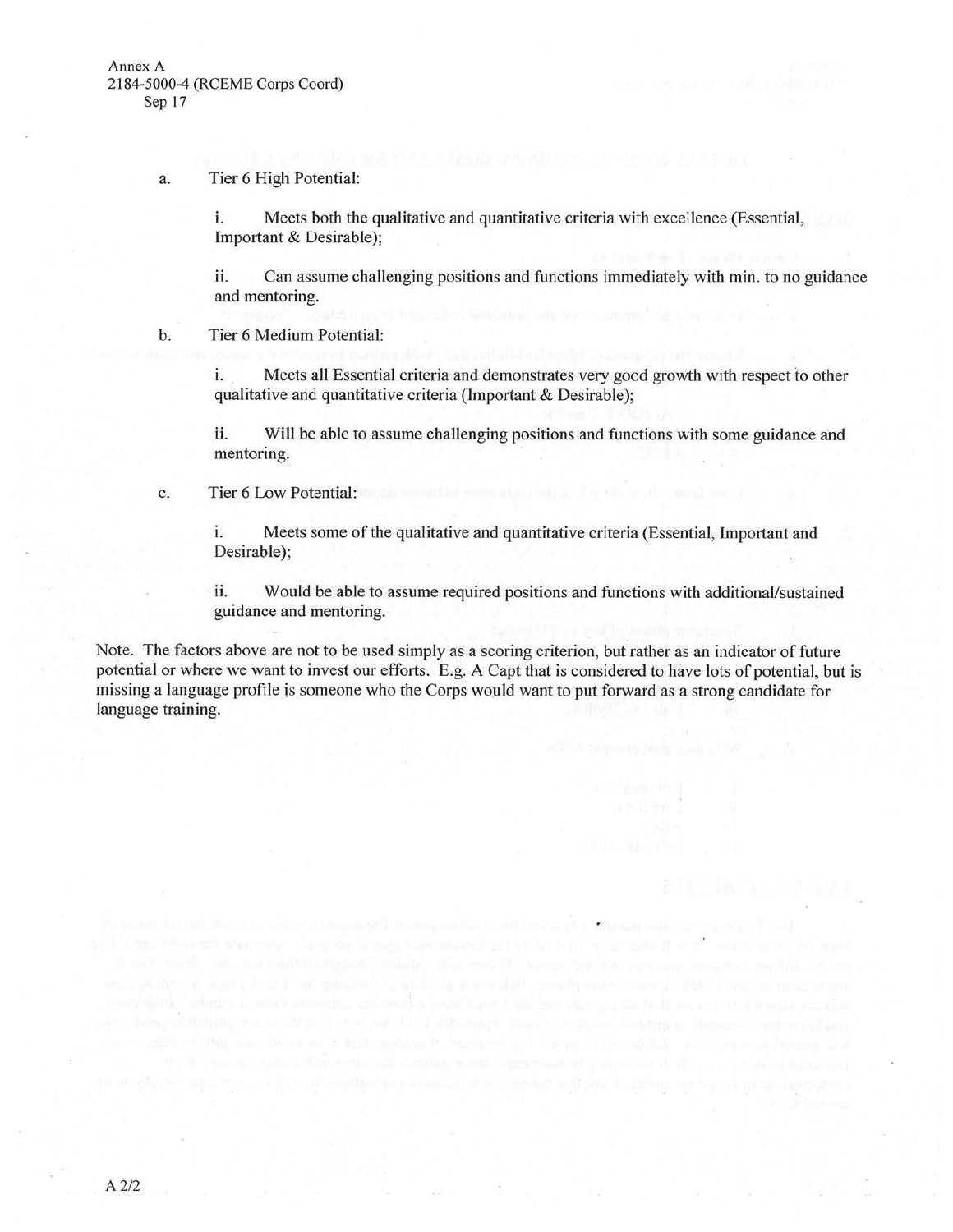a. Tier 6 High Potential:

i. Meets both the qualitative and quantitative criteria with excellence (Essential, lmportant & Desirable);

ii. Can assume challenging positions and functions immediately with min. to no guidance and mentoring.

b. Tier 6 Medium Potential:

i. Meets all Essential criteria and demonstrates very good growth with respect to other qualitative and quantitative criteria (Important & Desirable);

ii. Will be able to assume challenging positions and functions with some guidance and mentoring.

c. Tier 6 Low Potential:

i. Meets some of the qualitative and quantitative criteria (Essential, Important and Desirable);

ii. Would be able to assume required positions and functions with additional/sustained guidance and mentoring.

Note. The factors above are not to be used simply as a scoring criterion, but rather as an indicator of future potential or where we want to invest our efforts. E.g. A Capt that is considered to have lots of potential, but is missing a language profile is someone who the Corps would want to put forward as a strong candidate for language training.

antifestion than shorterin (antibactive instance without its anti-model is its in the

ers, if admix consuming entrance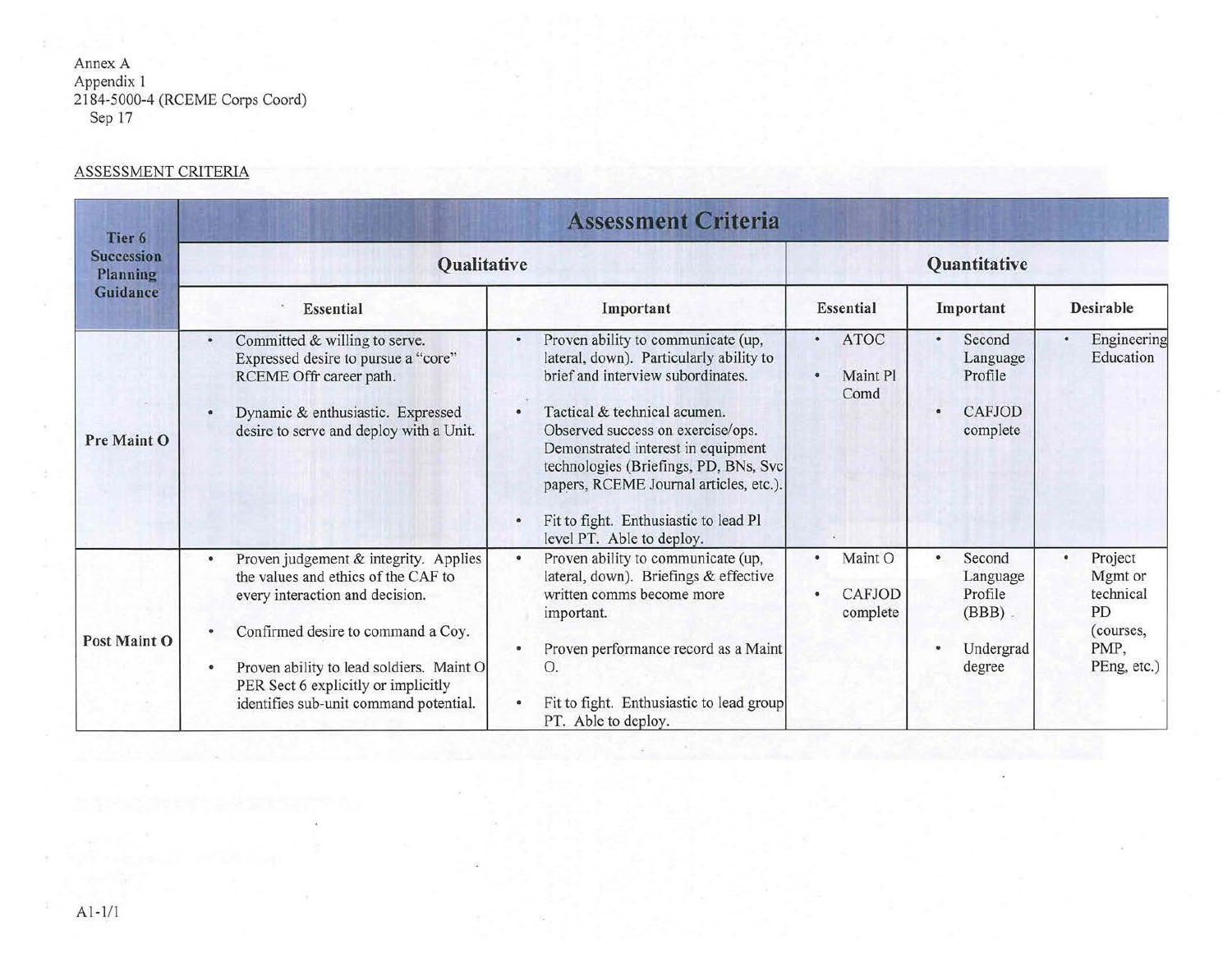Annex A Appendix 1 2184-5000-4 (RCEME Corps Coord) Sep 17

# ASSESSMENT CRITERIA

| Tier <sub>6</sub><br><b>Succession</b><br>Planning<br>Guidance | <b>Assessment Criteria</b>                                                                                                                                                                                                                                                                                   |                                                                                                                                                                                                                                                                                                                                                                                                          |                                                           |                                                                   |                                                                           |
|----------------------------------------------------------------|--------------------------------------------------------------------------------------------------------------------------------------------------------------------------------------------------------------------------------------------------------------------------------------------------------------|----------------------------------------------------------------------------------------------------------------------------------------------------------------------------------------------------------------------------------------------------------------------------------------------------------------------------------------------------------------------------------------------------------|-----------------------------------------------------------|-------------------------------------------------------------------|---------------------------------------------------------------------------|
|                                                                | <b>Qualitative</b>                                                                                                                                                                                                                                                                                           |                                                                                                                                                                                                                                                                                                                                                                                                          | Quantitative                                              |                                                                   |                                                                           |
|                                                                | Essential                                                                                                                                                                                                                                                                                                    | Important                                                                                                                                                                                                                                                                                                                                                                                                | Essential                                                 | Important                                                         | <b>Desirable</b>                                                          |
| Pre Maint O                                                    | Committed & willing to serve.<br>$\bullet$<br>Expressed desire to pursue a "core"<br>RCEME Offr career path.<br>Dynamic & enthusiastic. Expressed<br>desire to serve and deploy with a Unit.                                                                                                                 | Proven ability to communicate (up,<br>۰<br>lateral, down). Particularly ability to<br>brief and interview subordinates.<br>Tactical & technical acumen.<br>$\bullet$<br>Observed success on exercise/ops.<br>Demonstrated interest in equipment<br>technologies (Briefings, PD, BNs, Svc<br>papers, RCEME Journal articles, etc.).<br>Fit to fight. Enthusiastic to lead Pl<br>level PT. Able to deploy. | <b>ATOC</b><br>$\bullet$<br>Maint Pl<br>$\bullet$<br>Comd | Second<br>$\bullet$<br>Language<br>Profile<br>CAFJOD<br>complete  | Engineering<br>Education                                                  |
| Post Maint O                                                   | Proven judgement & integrity. Applies<br>$\bullet$<br>the values and ethics of the CAF to<br>every interaction and decision.<br>Confirmed desire to command a Coy.<br>Proven ability to lead soldiers. Maint O<br>$\bullet$<br>PER Sect 6 explicitly or implicitly<br>identifies sub-unit command potential. | Proven ability to communicate (up,<br>$\bullet$<br>lateral, down). Briefings & effective<br>written comms become more<br>important.<br>Proven performance record as a Maint<br>О.<br>Fit to fight. Enthusiastic to lead group<br>PT. Able to deploy.                                                                                                                                                     | Maint O<br><b>CAFJOD</b><br>complete                      | Second<br>Language<br>Profile<br>$(BBB)$ .<br>Undergrad<br>degree | Project<br>Mgmt or<br>technical<br>PD<br>(courses,<br>PMP,<br>PEng, etc.) |